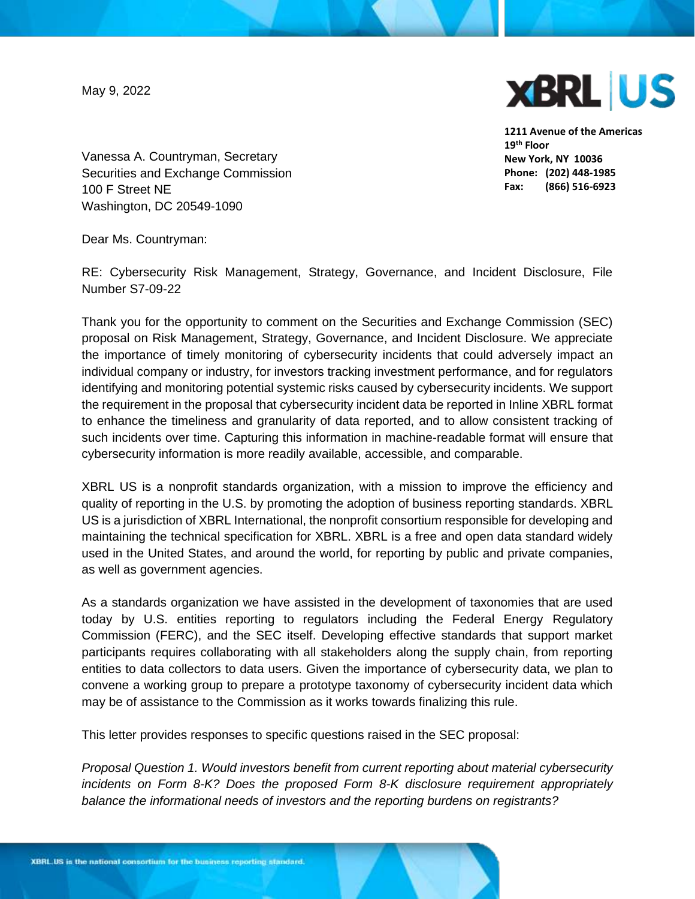May 9, 2022



**1211 Avenue of the Americas 19th Floor New York, NY 10036 Phone: (202) 448-1985 Fax: (866) 516-6923**

Vanessa A. Countryman, Secretary Securities and Exchange Commission 100 F Street NE Washington, DC 20549-1090

Dear Ms. Countryman:

RE: Cybersecurity Risk Management, Strategy, Governance, and Incident Disclosure, File Number S7-09-22

Thank you for the opportunity to comment on the Securities and Exchange Commission (SEC) proposal on Risk Management, Strategy, Governance, and Incident Disclosure. We appreciate the importance of timely monitoring of cybersecurity incidents that could adversely impact an individual company or industry, for investors tracking investment performance, and for regulators identifying and monitoring potential systemic risks caused by cybersecurity incidents. We support the requirement in the proposal that cybersecurity incident data be reported in Inline XBRL format to enhance the timeliness and granularity of data reported, and to allow consistent tracking of such incidents over time. Capturing this information in machine-readable format will ensure that cybersecurity information is more readily available, accessible, and comparable.

XBRL US is a nonprofit standards organization, with a mission to improve the efficiency and quality of reporting in the U.S. by promoting the adoption of business reporting standards. XBRL US is a jurisdiction of XBRL International, the nonprofit consortium responsible for developing and maintaining the technical specification for XBRL. XBRL is a free and open data standard widely used in the United States, and around the world, for reporting by public and private companies, as well as government agencies.

As a standards organization we have assisted in the development of taxonomies that are used today by U.S. entities reporting to regulators including the Federal Energy Regulatory Commission (FERC), and the SEC itself. Developing effective standards that support market participants requires collaborating with all stakeholders along the supply chain, from reporting entities to data collectors to data users. Given the importance of cybersecurity data, we plan to convene a working group to prepare a prototype taxonomy of cybersecurity incident data which may be of assistance to the Commission as it works towards finalizing this rule.

This letter provides responses to specific questions raised in the SEC proposal:

*Proposal Question 1. Would investors benefit from current reporting about material cybersecurity incidents on Form 8-K? Does the proposed Form 8-K disclosure requirement appropriately balance the informational needs of investors and the reporting burdens on registrants?*

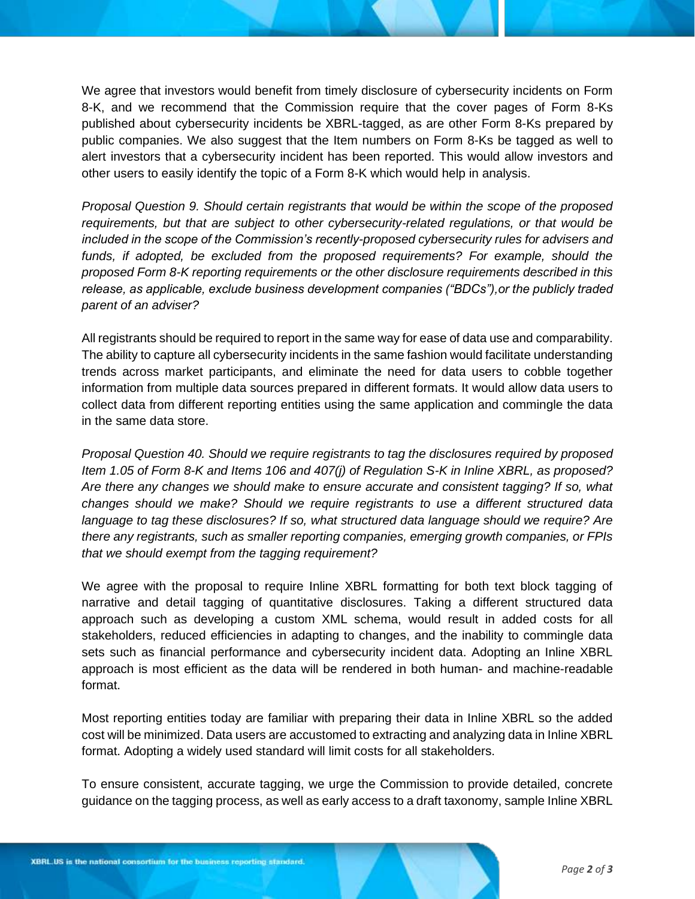We agree that investors would benefit from timely disclosure of cybersecurity incidents on Form 8-K, and we recommend that the Commission require that the cover pages of Form 8-Ks published about cybersecurity incidents be XBRL-tagged, as are other Form 8-Ks prepared by public companies. We also suggest that the Item numbers on Form 8-Ks be tagged as well to alert investors that a cybersecurity incident has been reported. This would allow investors and other users to easily identify the topic of a Form 8-K which would help in analysis.

*Proposal Question 9. Should certain registrants that would be within the scope of the proposed requirements, but that are subject to other cybersecurity-related regulations, or that would be included in the scope of the Commission's recently-proposed cybersecurity rules for advisers and*  funds, if adopted, be excluded from the proposed requirements? For example, should the *proposed Form 8-K reporting requirements or the other disclosure requirements described in this release, as applicable, exclude business development companies ("BDCs"),or the publicly traded parent of an adviser?*

All registrants should be required to report in the same way for ease of data use and comparability. The ability to capture all cybersecurity incidents in the same fashion would facilitate understanding trends across market participants, and eliminate the need for data users to cobble together information from multiple data sources prepared in different formats. It would allow data users to collect data from different reporting entities using the same application and commingle the data in the same data store.

*Proposal Question 40. Should we require registrants to tag the disclosures required by proposed Item 1.05 of Form 8-K and Items 106 and 407(j) of Regulation S-K in Inline XBRL, as proposed? Are there any changes we should make to ensure accurate and consistent tagging? If so, what changes should we make? Should we require registrants to use a different structured data language to tag these disclosures? If so, what structured data language should we require? Are there any registrants, such as smaller reporting companies, emerging growth companies, or FPIs that we should exempt from the tagging requirement?* 

We agree with the proposal to require Inline XBRL formatting for both text block tagging of narrative and detail tagging of quantitative disclosures. Taking a different structured data approach such as developing a custom XML schema, would result in added costs for all stakeholders, reduced efficiencies in adapting to changes, and the inability to commingle data sets such as financial performance and cybersecurity incident data. Adopting an Inline XBRL approach is most efficient as the data will be rendered in both human- and machine-readable format.

Most reporting entities today are familiar with preparing their data in Inline XBRL so the added cost will be minimized. Data users are accustomed to extracting and analyzing data in Inline XBRL format. Adopting a widely used standard will limit costs for all stakeholders.

To ensure consistent, accurate tagging, we urge the Commission to provide detailed, concrete guidance on the tagging process, as well as early access to a draft taxonomy, sample Inline XBRL